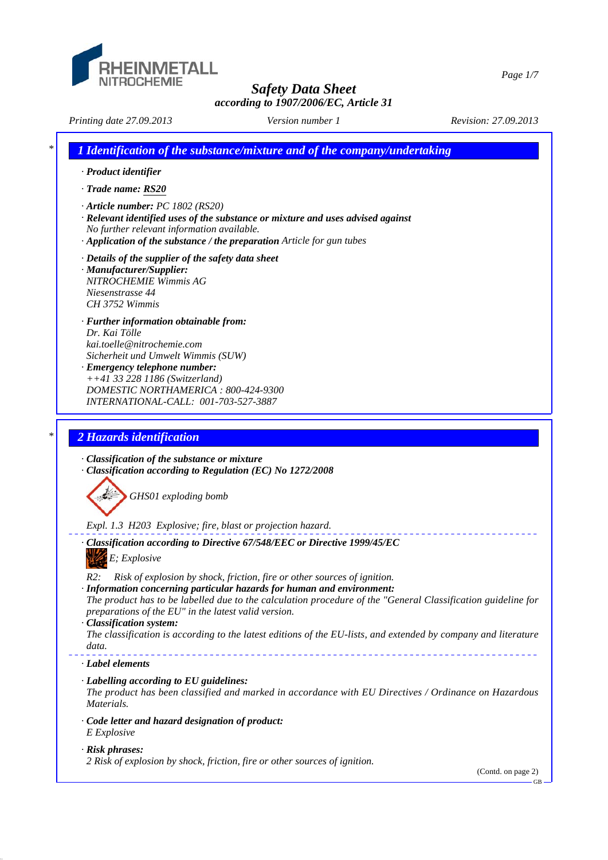

*Safety Data Sheet according to 1907/2006/EC, Article 31 Printing date 27.09.2013 Revision: 27.09.2013 Version number 1 \* 1 Identification of the substance/mixture and of the company/undertaking · Product identifier · Trade name: RS20 · Article number: PC 1802 (RS20) · Relevant identified uses of the substance or mixture and uses advised against No further relevant information available. · Application of the substance / the preparation Article for gun tubes · Details of the supplier of the safety data sheet · Manufacturer/Supplier: NITROCHEMIE Wimmis AG Niesenstrasse 44 CH 3752 Wimmis · Further information obtainable from: Dr. Kai Tölle kai.toelle@nitrochemie.com Sicherheit und Umwelt Wimmis (SUW) · Emergency telephone number: ++41 33 228 1186 (Switzerland) DOMESTIC NORTHAMERICA : 800-424-9300 INTERNATIONAL-CALL: 001-703-527-3887 \* 2 Hazards identification · Classification of the substance or mixture · Classification according to Regulation (EC) No 1272/2008 GHS01 exploding bomb Expl. 1.3 H203 Explosive; fire, blast or projection hazard. · Classification according to Directive 67/548/EEC or Directive 1999/45/EC E; Explosive R2: Risk of explosion by shock, friction, fire or other sources of ignition. · Information concerning particular hazards for human and environment: The product has to be labelled due to the calculation procedure of the "General Classification guideline for preparations of the EU" in the latest valid version. · Classification system: The classification is according to the latest editions of the EU-lists, and extended by company and literature data. · Label elements*

- *· Labelling according to EU guidelines:*
- *The product has been classified and marked in accordance with EU Directives / Ordinance on Hazardous Materials.*
- *· Code letter and hazard designation of product: E Explosive*

### *· Risk phrases:*

*2 Risk of explosion by shock, friction, fire or other sources of ignition.*

(Contd. on page 2)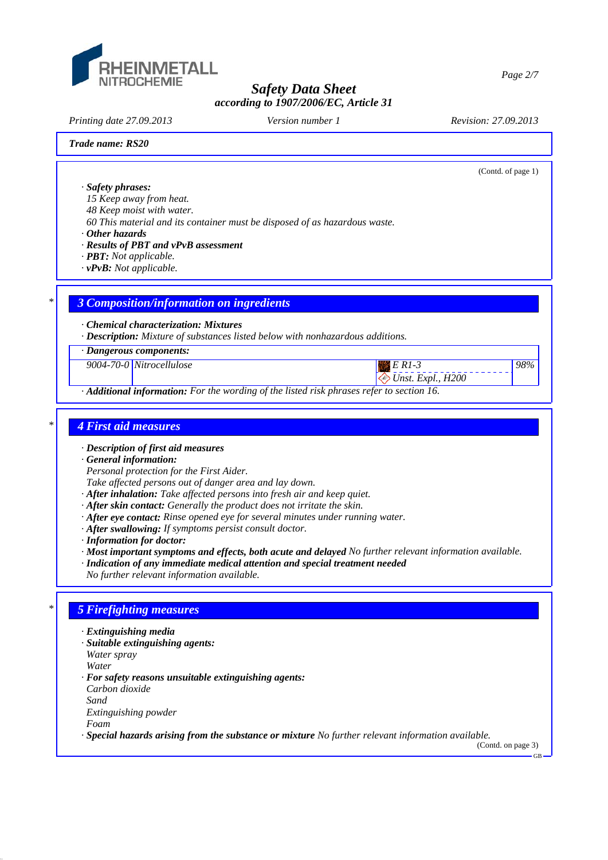

*Printing date 27.09.2013 Revision: 27.09.2013 Version number 1*

(Contd. of page 1)

*98%*

*Trade name: RS20*

*· Safety phrases:*

*15 Keep away from heat.*

*48 Keep moist with water.*

*60 This material and its container must be disposed of as hazardous waste.*

*· Other hazards*

*· Results of PBT and vPvB assessment*

*· PBT: Not applicable.*

*· vPvB: Not applicable.*

### *\* 3 Composition/information on ingredients*

*· Chemical characterization: Mixtures*

*· Description: Mixture of substances listed below with nonhazardous additions.*

*· Dangerous components:*

*9004-70-0 Nitrocellulose E R1-3*

 *Unst. Expl., H200*

*· Additional information: For the wording of the listed risk phrases refer to section 16.*

### *\* 4 First aid measures*

*· Description of first aid measures*

*· General information:*

*Personal protection for the First Aider.*

*Take affected persons out of danger area and lay down.*

- *· After inhalation: Take affected persons into fresh air and keep quiet.*
- *· After skin contact: Generally the product does not irritate the skin.*
- *· After eye contact: Rinse opened eye for several minutes under running water.*
- *· After swallowing: If symptoms persist consult doctor.*
- *· Information for doctor:*
- *· Most important symptoms and effects, both acute and delayed No further relevant information available.*
- *· Indication of any immediate medical attention and special treatment needed*
- *No further relevant information available.*

### *\* 5 Firefighting measures*

- *· Extinguishing media*
- *· Suitable extinguishing agents:*

*Water spray*

*Water*

*· For safety reasons unsuitable extinguishing agents:*

*Carbon dioxide Sand*

*Extinguishing powder*

*Foam*

*· Special hazards arising from the substance or mixture No further relevant information available.*

(Contd. on page 3)

*Page 2/7*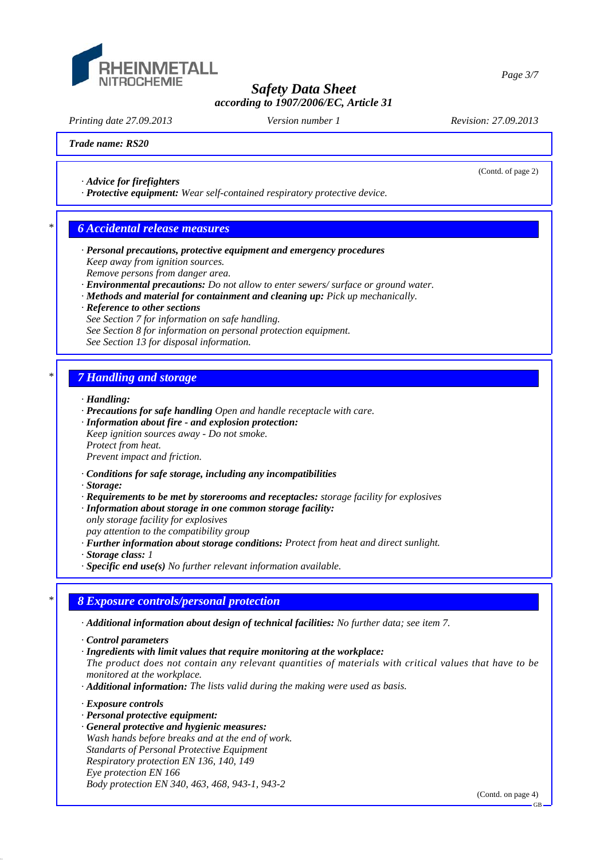

*Printing date 27.09.2013 Revision: 27.09.2013 Version number 1*

(Contd. of page 2)

*Page 3/7*

### *Trade name: RS20*

- *· Advice for firefighters*
- *· Protective equipment: Wear self-contained respiratory protective device.*

### *\* 6 Accidental release measures*

- *· Personal precautions, protective equipment and emergency procedures Keep away from ignition sources. Remove persons from danger area.*
- *· Environmental precautions: Do not allow to enter sewers/ surface or ground water.*
- *· Methods and material for containment and cleaning up: Pick up mechanically.*
- *· Reference to other sections See Section 7 for information on safe handling. See Section 8 for information on personal protection equipment. See Section 13 for disposal information.*

### *\* 7 Handling and storage*

- *· Handling:*
- *· Precautions for safe handling Open and handle receptacle with care.*
- *· Information about fire and explosion protection:*
- *Keep ignition sources away Do not smoke. Protect from heat. Prevent impact and friction.*
- *· Conditions for safe storage, including any incompatibilities*
- *· Storage:*
- *· Requirements to be met by storerooms and receptacles: storage facility for explosives*
- *· Information about storage in one common storage facility:*

*only storage facility for explosives pay attention to the compatibility group*

*· Further information about storage conditions: Protect from heat and direct sunlight.*

*· Storage class: 1* 

*· Specific end use(s) No further relevant information available.*

## *\* 8 Exposure controls/personal protection*

*· Additional information about design of technical facilities: No further data; see item 7.*

- *· Control parameters*
- *· Ingredients with limit values that require monitoring at the workplace:*
- *The product does not contain any relevant quantities of materials with critical values that have to be monitored at the workplace.*
- *· Additional information: The lists valid during the making were used as basis.*

*· Exposure controls*

- *· Personal protective equipment:*
- *· General protective and hygienic measures: Wash hands before breaks and at the end of work. Standarts of Personal Protective Equipment Respiratory protection EN 136, 140, 149 Eye protection EN 166 Body protection EN 340, 463, 468, 943-1, 943-2*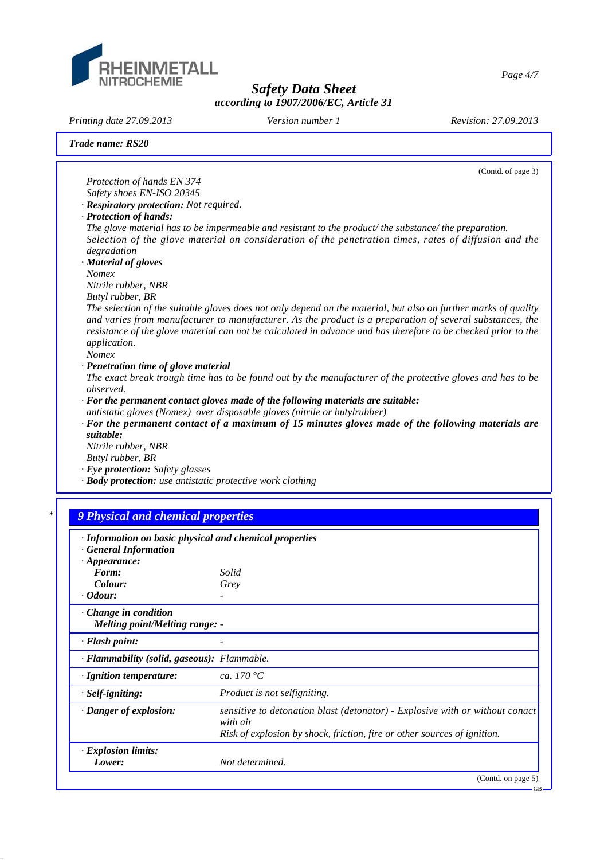

*Printing date 27.09.2013 Revision: 27.09.2013 Version number 1*

|                                                                                                | (Contd. of page 3)                                                                                                                                                                                                                                                                                                                            |
|------------------------------------------------------------------------------------------------|-----------------------------------------------------------------------------------------------------------------------------------------------------------------------------------------------------------------------------------------------------------------------------------------------------------------------------------------------|
| Protection of hands EN 374                                                                     |                                                                                                                                                                                                                                                                                                                                               |
| Safety shoes EN-ISO 20345                                                                      |                                                                                                                                                                                                                                                                                                                                               |
| · Respiratory protection: Not required.                                                        |                                                                                                                                                                                                                                                                                                                                               |
| · Protection of hands:                                                                         |                                                                                                                                                                                                                                                                                                                                               |
| degradation                                                                                    | The glove material has to be impermeable and resistant to the product/the substance/the preparation.<br>Selection of the glove material on consideration of the penetration times, rates of diffusion and the                                                                                                                                 |
| · Material of gloves<br><b>Nomex</b>                                                           |                                                                                                                                                                                                                                                                                                                                               |
| Nitrile rubber, NBR                                                                            |                                                                                                                                                                                                                                                                                                                                               |
| Butyl rubber, BR                                                                               |                                                                                                                                                                                                                                                                                                                                               |
| application.<br><b>Nomex</b>                                                                   | The selection of the suitable gloves does not only depend on the material, but also on further marks of quality<br>and varies from manufacturer to manufacturer. As the product is a preparation of several substances, the<br>resistance of the glove material can not be calculated in advance and has therefore to be checked prior to the |
| · Penetration time of glove material                                                           |                                                                                                                                                                                                                                                                                                                                               |
|                                                                                                | The exact break trough time has to be found out by the manufacturer of the protective gloves and has to be                                                                                                                                                                                                                                    |
| observed.                                                                                      | $\cdot$ For the permanent contact gloves made of the following materials are suitable:                                                                                                                                                                                                                                                        |
|                                                                                                | antistatic gloves (Nomex) over disposable gloves (nitrile or butylrubber)                                                                                                                                                                                                                                                                     |
|                                                                                                | $\cdot$ For the permanent contact of a maximum of 15 minutes gloves made of the following materials are                                                                                                                                                                                                                                       |
| suitable:                                                                                      |                                                                                                                                                                                                                                                                                                                                               |
|                                                                                                |                                                                                                                                                                                                                                                                                                                                               |
| Nitrile rubber, NBR                                                                            |                                                                                                                                                                                                                                                                                                                                               |
| Butyl rubber, BR                                                                               |                                                                                                                                                                                                                                                                                                                                               |
| · Eye protection: Safety glasses<br>· Body protection: use antistatic protective work clothing |                                                                                                                                                                                                                                                                                                                                               |
|                                                                                                |                                                                                                                                                                                                                                                                                                                                               |
| <b>9 Physical and chemical properties</b>                                                      |                                                                                                                                                                                                                                                                                                                                               |
|                                                                                                |                                                                                                                                                                                                                                                                                                                                               |
| · Information on basic physical and chemical properties<br><b>General Information</b>          |                                                                                                                                                                                                                                                                                                                                               |
| $\cdot$ Appearance:                                                                            |                                                                                                                                                                                                                                                                                                                                               |
| Form:                                                                                          | Solid                                                                                                                                                                                                                                                                                                                                         |
| Colour:                                                                                        | Grey                                                                                                                                                                                                                                                                                                                                          |
| Odour:                                                                                         |                                                                                                                                                                                                                                                                                                                                               |
| Change in condition<br><b>Melting point/Melting range: -</b>                                   |                                                                                                                                                                                                                                                                                                                                               |
| · Flash point:                                                                                 |                                                                                                                                                                                                                                                                                                                                               |
| · Flammability (solid, gaseous): Flammable.                                                    |                                                                                                                                                                                                                                                                                                                                               |
| · Ignition temperature:                                                                        | ca. 170 $\degree$ C                                                                                                                                                                                                                                                                                                                           |
| · Self-igniting:                                                                               | Product is not selfigniting.                                                                                                                                                                                                                                                                                                                  |
| · Danger of explosion:                                                                         | with air<br>Risk of explosion by shock, friction, fire or other sources of ignition.                                                                                                                                                                                                                                                          |
| · Explosion limits:<br>Lower:                                                                  | sensitive to detonation blast (detonator) - Explosive with or without conact<br>Not determined.                                                                                                                                                                                                                                               |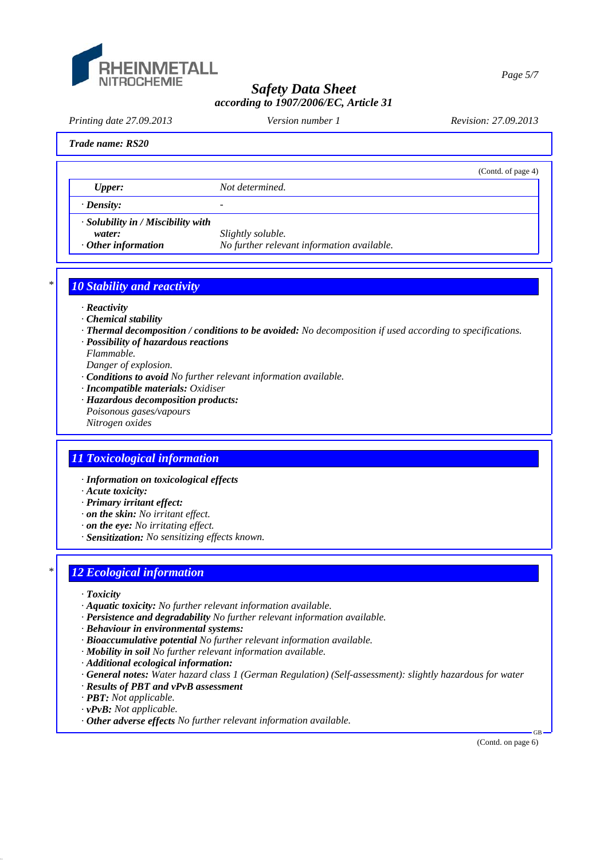

*Page 5/7*

# *Safety Data Sheet according to 1907/2006/EC, Article 31*

*Printing date 27.09.2013 Revision: 27.09.2013 Version number 1*

(Contd. of page 4)

#### *Trade name: RS20*

*Upper: Not determined.*

*· Density: -* 

*· Solubility in / Miscibility with*

*water: Slightly soluble. · Other information No further relevant information available.*

*\* 10 Stability and reactivity*

- *· Reactivity*
- *· Chemical stability*
- *· Thermal decomposition / conditions to be avoided: No decomposition if used according to specifications.*
- *· Possibility of hazardous reactions*
- *Flammable.*
- *Danger of explosion.*
- *· Conditions to avoid No further relevant information available.*
- *· Incompatible materials: Oxidiser*
- *· Hazardous decomposition products: Poisonous gases/vapours Nitrogen oxides*

# *11 Toxicological information*

- *· Information on toxicological effects*
- *· Acute toxicity:*
- *· Primary irritant effect:*
- *· on the skin: No irritant effect.*
- *· on the eye: No irritating effect.*
- *· Sensitization: No sensitizing effects known.*

### *\* 12 Ecological information*

- *· Toxicity*
- *· Aquatic toxicity: No further relevant information available.*
- *· Persistence and degradability No further relevant information available.*
- *· Behaviour in environmental systems:*
- *· Bioaccumulative potential No further relevant information available.*
- *· Mobility in soil No further relevant information available.*
- *· Additional ecological information:*
- *· General notes: Water hazard class 1 (German Regulation) (Self-assessment): slightly hazardous for water*
- *· Results of PBT and vPvB assessment*
- *· PBT: Not applicable.*
- *· vPvB: Not applicable.*
- *· Other adverse effects No further relevant information available.*

(Contd. on page 6)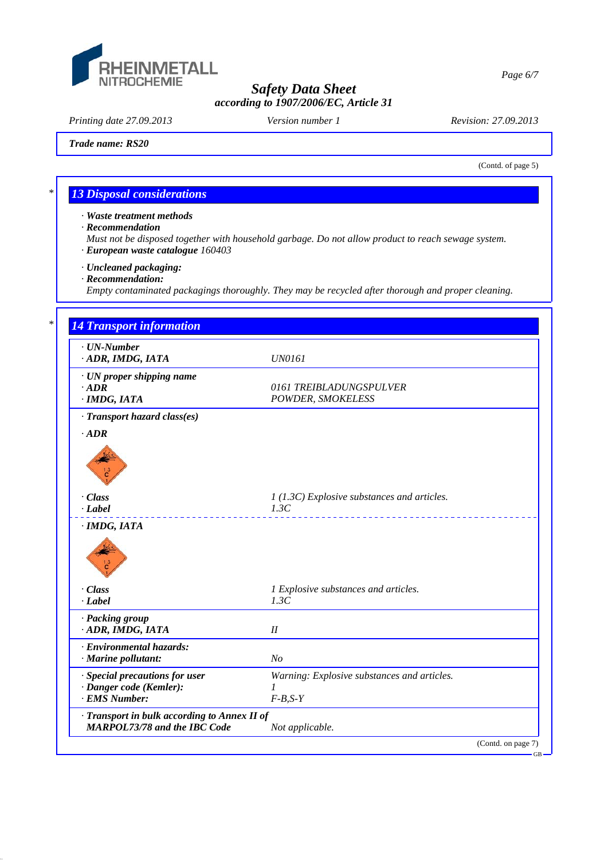

*Printing date 27.09.2013 Revision: 27.09.2013 Version number 1*

*Trade name: RS20*

(Contd. of page 5)

## *\* 13 Disposal considerations*

*· Waste treatment methods*

*· Recommendation*

*Must not be disposed together with household garbage. Do not allow product to reach sewage system. · European waste catalogue 160403*

*· Uncleaned packaging:*

*· Recommendation:*

*Empty contaminated packagings thoroughly. They may be recycled after thorough and proper cleaning.*

| $\cdot$ UN-Number                            |                                              |  |  |
|----------------------------------------------|----------------------------------------------|--|--|
| · ADR, IMDG, IATA                            | <b>UN0161</b>                                |  |  |
| $\cdot$ UN proper shipping name              |                                              |  |  |
| $\cdot$ ADR                                  | 0161 TREIBLADUNGSPULVER                      |  |  |
| $\cdot$ IMDG, IATA                           | POWDER, SMOKELESS                            |  |  |
| · Transport hazard class(es)                 |                                              |  |  |
| $\cdot$ <i>ADR</i>                           |                                              |  |  |
|                                              |                                              |  |  |
|                                              |                                              |  |  |
|                                              |                                              |  |  |
| $\cdot Class$                                | 1 (1.3C) Explosive substances and articles.  |  |  |
| $-Label$                                     | 1.3C                                         |  |  |
|                                              |                                              |  |  |
|                                              |                                              |  |  |
|                                              |                                              |  |  |
|                                              |                                              |  |  |
| · Class<br>$-Label$                          | 1 Explosive substances and articles.<br>1.3C |  |  |
|                                              |                                              |  |  |
| · Packing group                              |                                              |  |  |
| · ADR, IMDG, IATA                            | II                                           |  |  |
| · Environmental hazards:                     |                                              |  |  |
| · Marine pollutant:                          | No                                           |  |  |
| · Special precautions for user               | Warning: Explosive substances and articles.  |  |  |
| · Danger code (Kemler):                      | 1                                            |  |  |
| · EMS Number:                                | $F-B,S-Y$                                    |  |  |
| · Transport in bulk according to Annex II of |                                              |  |  |

*Page 6/7*